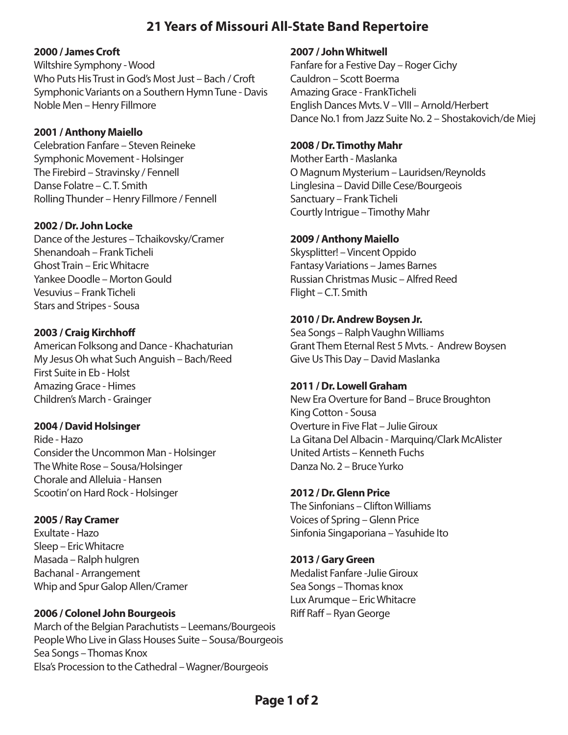# **21 Years of Missouri All-State Band Repertoire**

#### **2000 / James Croft**

Wiltshire Symphony - Wood Who Puts His Trust in God's Most Just – Bach / Croft Symphonic Variants on a Southern Hymn Tune - Davis Noble Men – Henry Fillmore

#### **2001 / Anthony Maiello**

Celebration Fanfare – Steven Reineke Symphonic Movement - Holsinger The Firebird – Stravinsky / Fennell Danse Folatre – C. T. Smith Rolling Thunder – Henry Fillmore / Fennell

## **2002 / Dr. John Locke**

Dance of the Jestures – Tchaikovsky/Cramer Shenandoah – Frank Ticheli Ghost Train – Eric Whitacre Yankee Doodle – Morton Gould Vesuvius – Frank Ticheli Stars and Stripes - Sousa

## **2003 / Craig Kirchho**

American Folksong and Dance - Khachaturian My Jesus Oh what Such Anguish – Bach/Reed First Suite in Eb - Holst Amazing Grace - Himes Children's March - Grainger

#### **2004 / David Holsinger**

Ride - Hazo Consider the Uncommon Man - Holsinger The White Rose – Sousa/Holsinger Chorale and Alleluia - Hansen Scootin' on Hard Rock - Holsinger

# **2005 / Ray Cramer**

Exultate - Hazo Sleep – Eric Whitacre Masada – Ralph hulgren Bachanal - Arrangement Whip and Spur Galop Allen/Cramer

# **2006 / Colonel John Bourgeois**

March of the Belgian Parachutists – Leemans/Bourgeois People Who Live in Glass Houses Suite – Sousa/Bourgeois Sea Songs – Thomas Knox Elsa's Procession to the Cathedral – Wagner/Bourgeois

#### **2007 / John Whitwell**

Fanfare for a Festive Day – Roger Cichy Cauldron – Scott Boerma Amazing Grace - FrankTicheli English Dances Mvts. V – VIII – Arnold/Herbert Dance No.1 from Jazz Suite No. 2 – Shostakovich/de Miej

## **2008 / Dr. Timothy Mahr**

Mother Earth - Maslanka O Magnum Mysterium – Lauridsen/Reynolds Linglesina – David Dille Cese/Bourgeois Sanctuary – Frank Ticheli Courtly Intrigue – Timothy Mahr

## **2009 / Anthony Maiello**

Skysplitter! – Vincent Oppido Fantasy Variations – James Barnes Russian Christmas Music – Alfred Reed Flight – C.T. Smith

## **2010 / Dr. Andrew Boysen Jr.**

Sea Songs – Ralph Vaughn Williams Grant Them Eternal Rest 5 Mvts. - Andrew Boysen Give Us This Day – David Maslanka

#### **2011 / Dr. Lowell Graham**

New Era Overture for Band – Bruce Broughton King Cotton - Sousa Overture in Five Flat – Julie Giroux La Gitana Del Albacin - Marquinq/Clark McAlister United Artists – Kenneth Fuchs Danza No. 2 – Bruce Yurko

# **2012 / Dr. Glenn Price**

The Sinfonians – Clifton Williams Voices of Spring – Glenn Price Sinfonia Singaporiana – Yasuhide Ito

#### **2013 / Gary Green**

Medalist Fanfare -Julie Giroux Sea Songs – Thomas knox Lux Arumque – Eric Whitacre Riff Raff – Ryan George